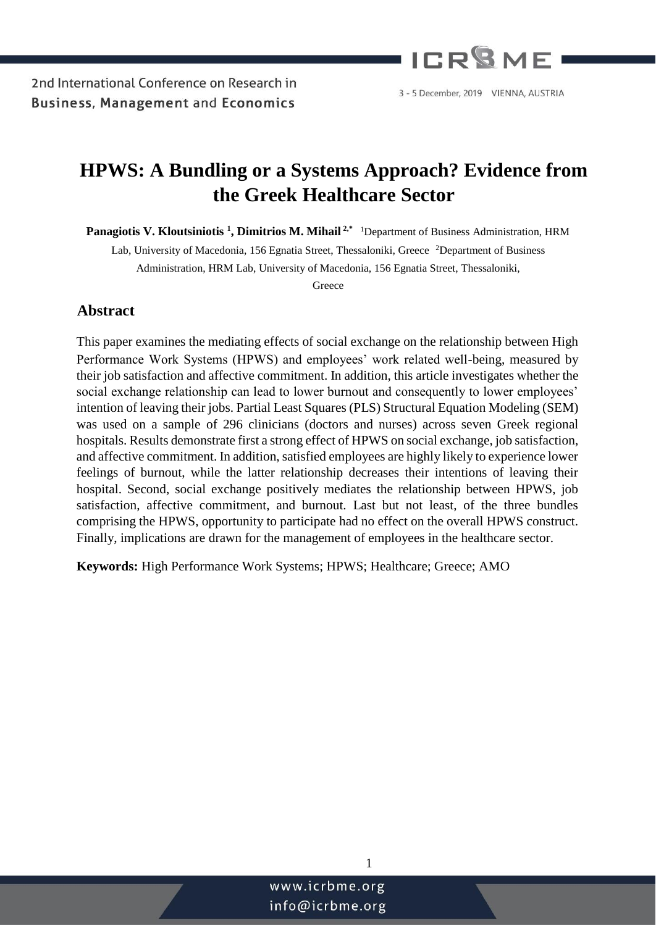

# **HPWS: A Bundling or a Systems Approach? Evidence from the Greek Healthcare Sector**

**Panagiotis V. Kloutsiniotis <sup>1</sup> , Dimitrios M. Mihail 2,\*** <sup>1</sup>Department of Business Administration, HRM

Lab, University of Macedonia, 156 Egnatia Street, Thessaloniki, Greece <sup>2</sup>Department of Business Administration, HRM Lab, University of Macedonia, 156 Egnatia Street, Thessaloniki,

Greece

## **Abstract**

This paper examines the mediating effects of social exchange on the relationship between High Performance Work Systems (HPWS) and employees' work related well-being, measured by their job satisfaction and affective commitment. In addition, this article investigates whether the social exchange relationship can lead to lower burnout and consequently to lower employees' intention of leaving their jobs. Partial Least Squares (PLS) Structural Equation Modeling (SEM) was used on a sample of 296 clinicians (doctors and nurses) across seven Greek regional hospitals. Results demonstrate first a strong effect of HPWS on social exchange, job satisfaction, and affective commitment. In addition, satisfied employees are highly likely to experience lower feelings of burnout, while the latter relationship decreases their intentions of leaving their hospital. Second, social exchange positively mediates the relationship between HPWS, job satisfaction, affective commitment, and burnout. Last but not least, of the three bundles comprising the HPWS, opportunity to participate had no effect on the overall HPWS construct. Finally, implications are drawn for the management of employees in the healthcare sector.

**Keywords:** High Performance Work Systems; HPWS; Healthcare; Greece; AMO

1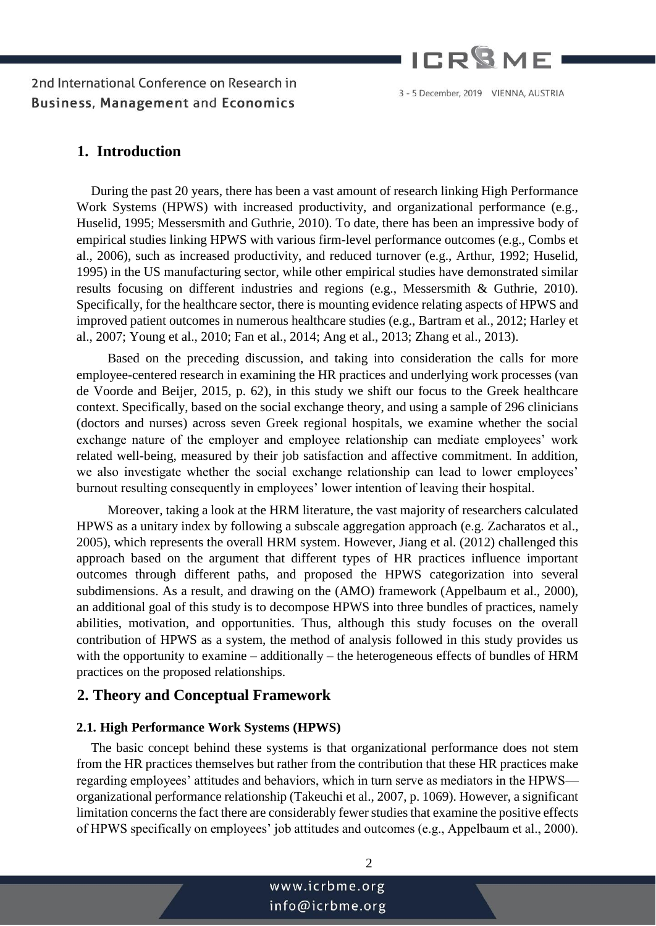

#### 3 - 5 December, 2019 VIENNA, AUSTRIA

## **1. Introduction**

During the past 20 years, there has been a vast amount of research linking High Performance Work Systems (HPWS) with increased productivity, and organizational performance (e.g., Huselid, 1995; Messersmith and Guthrie, 2010). To date, there has been an impressive body of empirical studies linking HPWS with various firm-level performance outcomes (e.g., Combs et al., 2006), such as increased productivity, and reduced turnover (e.g., Arthur, 1992; Huselid, 1995) in the US manufacturing sector, while other empirical studies have demonstrated similar results focusing on different industries and regions (e.g., Messersmith & Guthrie, 2010). Specifically, for the healthcare sector, there is mounting evidence relating aspects of HPWS and improved patient outcomes in numerous healthcare studies (e.g., Bartram et al., 2012; Harley et al., 2007; Young et al., 2010; Fan et al., 2014; Ang et al., 2013; Zhang et al., 2013).

 Based on the preceding discussion, and taking into consideration the calls for more employee-centered research in examining the HR practices and underlying work processes (van de Voorde and Beijer, 2015, p. 62), in this study we shift our focus to the Greek healthcare context. Specifically, based on the social exchange theory, and using a sample of 296 clinicians (doctors and nurses) across seven Greek regional hospitals, we examine whether the social exchange nature of the employer and employee relationship can mediate employees' work related well-being, measured by their job satisfaction and affective commitment. In addition, we also investigate whether the social exchange relationship can lead to lower employees' burnout resulting consequently in employees' lower intention of leaving their hospital.

 Moreover, taking a look at the HRM literature, the vast majority of researchers calculated HPWS as a unitary index by following a subscale aggregation approach (e.g. Zacharatos et al., 2005), which represents the overall HRM system. However, Jiang et al. (2012) challenged this approach based on the argument that different types of HR practices influence important outcomes through different paths, and proposed the HPWS categorization into several subdimensions. As a result, and drawing on the (AMO) framework (Appelbaum et al., 2000), an additional goal of this study is to decompose HPWS into three bundles of practices, namely abilities, motivation, and opportunities. Thus, although this study focuses on the overall contribution of HPWS as a system, the method of analysis followed in this study provides us with the opportunity to examine – additionally – the heterogeneous effects of bundles of HRM practices on the proposed relationships.

### **2. Theory and Conceptual Framework**

#### **2.1. High Performance Work Systems (HPWS)**

The basic concept behind these systems is that organizational performance does not stem from the HR practices themselves but rather from the contribution that these HR practices make regarding employees' attitudes and behaviors, which in turn serve as mediators in the HPWS organizational performance relationship (Takeuchi et al., 2007, p. 1069). However, a significant limitation concerns the fact there are considerably fewer studies that examine the positive effects of HPWS specifically on employees' job attitudes and outcomes (e.g., Appelbaum et al., 2000).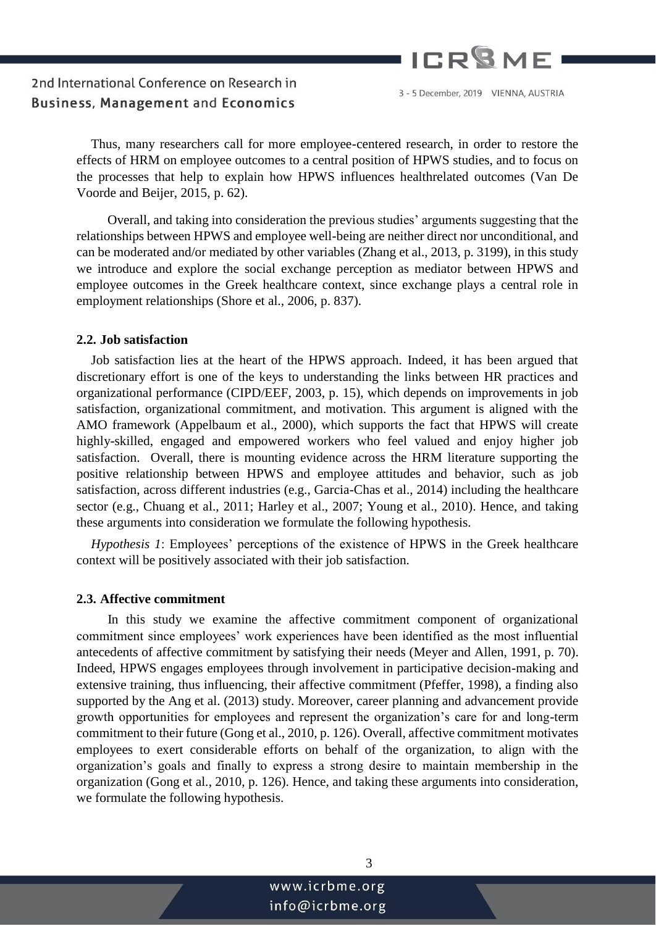

3 - 5 December, 2019 VIENNA, AUSTRIA

Thus, many researchers call for more employee-centered research, in order to restore the effects of HRM on employee outcomes to a central position of HPWS studies, and to focus on the processes that help to explain how HPWS influences healthrelated outcomes (Van De Voorde and Beijer, 2015, p. 62).

 Overall, and taking into consideration the previous studies' arguments suggesting that the relationships between HPWS and employee well-being are neither direct nor unconditional, and can be moderated and/or mediated by other variables (Zhang et al., 2013, p. 3199), in this study we introduce and explore the social exchange perception as mediator between HPWS and employee outcomes in the Greek healthcare context, since exchange plays a central role in employment relationships (Shore et al., 2006, p. 837).

#### **2.2. Job satisfaction**

Job satisfaction lies at the heart of the HPWS approach. Indeed, it has been argued that discretionary effort is one of the keys to understanding the links between HR practices and organizational performance (CIPD/EEF, 2003, p. 15), which depends on improvements in job satisfaction, organizational commitment, and motivation. This argument is aligned with the AMO framework (Appelbaum et al., 2000), which supports the fact that HPWS will create highly-skilled, engaged and empowered workers who feel valued and enjoy higher job satisfaction. Overall, there is mounting evidence across the HRM literature supporting the positive relationship between HPWS and employee attitudes and behavior, such as job satisfaction, across different industries (e.g., Garcia-Chas et al., 2014) including the healthcare sector (e.g., Chuang et al., 2011; Harley et al., 2007; Young et al., 2010). Hence, and taking these arguments into consideration we formulate the following hypothesis.

*Hypothesis 1*: Employees' perceptions of the existence of HPWS in the Greek healthcare context will be positively associated with their job satisfaction.

#### **2.3. Affective commitment**

 In this study we examine the affective commitment component of organizational commitment since employees' work experiences have been identified as the most influential antecedents of affective commitment by satisfying their needs (Meyer and Allen, 1991, p. 70). Indeed, HPWS engages employees through involvement in participative decision-making and extensive training, thus influencing, their affective commitment (Pfeffer, 1998), a finding also supported by the Ang et al. (2013) study. Moreover, career planning and advancement provide growth opportunities for employees and represent the organization's care for and long-term commitment to their future (Gong et al., 2010, p. 126). Overall, affective commitment motivates employees to exert considerable efforts on behalf of the organization, to align with the organization's goals and finally to express a strong desire to maintain membership in the organization (Gong et al., 2010, p. 126). Hence, and taking these arguments into consideration, we formulate the following hypothesis.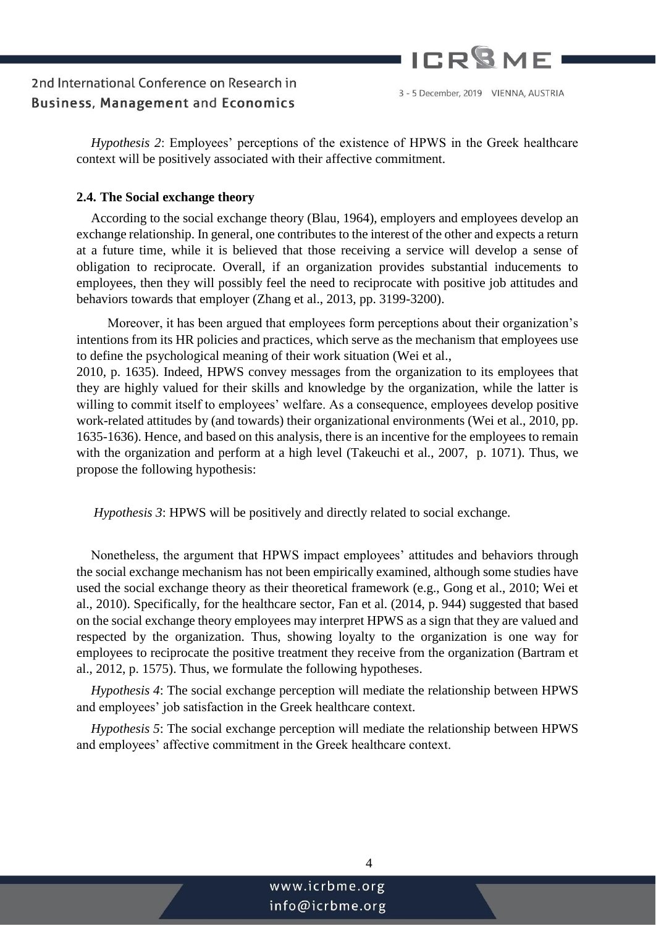

*Hypothesis 2*: Employees' perceptions of the existence of HPWS in the Greek healthcare context will be positively associated with their affective commitment.

#### **2.4. The Social exchange theory**

According to the social exchange theory (Blau, 1964), employers and employees develop an exchange relationship. In general, one contributes to the interest of the other and expects a return at a future time, while it is believed that those receiving a service will develop a sense of obligation to reciprocate. Overall, if an organization provides substantial inducements to employees, then they will possibly feel the need to reciprocate with positive job attitudes and behaviors towards that employer (Zhang et al., 2013, pp. 3199-3200).

 Moreover, it has been argued that employees form perceptions about their organization's intentions from its HR policies and practices, which serve as the mechanism that employees use to define the psychological meaning of their work situation (Wei et al.,

2010, p. 1635). Indeed, HPWS convey messages from the organization to its employees that they are highly valued for their skills and knowledge by the organization, while the latter is willing to commit itself to employees' welfare. As a consequence, employees develop positive work-related attitudes by (and towards) their organizational environments (Wei et al., 2010, pp. 1635-1636). Hence, and based on this analysis, there is an incentive for the employees to remain with the organization and perform at a high level (Takeuchi et al., 2007, p. 1071). Thus, we propose the following hypothesis:

*Hypothesis 3*: HPWS will be positively and directly related to social exchange.

Nonetheless, the argument that HPWS impact employees' attitudes and behaviors through the social exchange mechanism has not been empirically examined, although some studies have used the social exchange theory as their theoretical framework (e.g., Gong et al., 2010; Wei et al., 2010). Specifically, for the healthcare sector, Fan et al. (2014, p. 944) suggested that based on the social exchange theory employees may interpret HPWS as a sign that they are valued and respected by the organization. Thus, showing loyalty to the organization is one way for employees to reciprocate the positive treatment they receive from the organization (Bartram et al., 2012, p. 1575). Thus, we formulate the following hypotheses.

*Hypothesis 4*: The social exchange perception will mediate the relationship between HPWS and employees' job satisfaction in the Greek healthcare context.

*Hypothesis 5*: The social exchange perception will mediate the relationship between HPWS and employees' affective commitment in the Greek healthcare context.

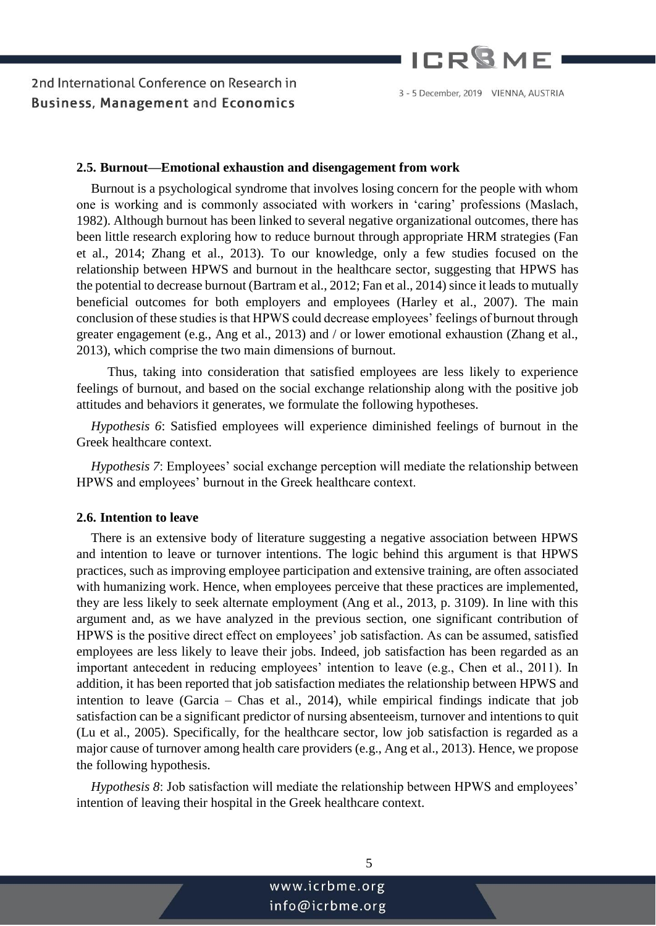

#### 3 - 5 December, 2019 VIENNA, AUSTRIA

#### **2.5. Burnout—Emotional exhaustion and disengagement from work**

Burnout is a psychological syndrome that involves losing concern for the people with whom one is working and is commonly associated with workers in 'caring' professions (Maslach, 1982). Although burnout has been linked to several negative organizational outcomes, there has been little research exploring how to reduce burnout through appropriate HRM strategies (Fan et al., 2014; Zhang et al., 2013). To our knowledge, only a few studies focused on the relationship between HPWS and burnout in the healthcare sector, suggesting that HPWS has the potential to decrease burnout (Bartram et al., 2012; Fan et al., 2014) since it leads to mutually beneficial outcomes for both employers and employees (Harley et al., 2007). The main conclusion of these studies is that HPWS could decrease employees' feelings of burnout through greater engagement (e.g., Ang et al., 2013) and / or lower emotional exhaustion (Zhang et al., 2013), which comprise the two main dimensions of burnout.

 Thus, taking into consideration that satisfied employees are less likely to experience feelings of burnout, and based on the social exchange relationship along with the positive job attitudes and behaviors it generates, we formulate the following hypotheses.

*Hypothesis 6*: Satisfied employees will experience diminished feelings of burnout in the Greek healthcare context.

*Hypothesis 7*: Employees' social exchange perception will mediate the relationship between HPWS and employees' burnout in the Greek healthcare context.

#### **2.6. Intention to leave**

There is an extensive body of literature suggesting a negative association between HPWS and intention to leave or turnover intentions. The logic behind this argument is that HPWS practices, such as improving employee participation and extensive training, are often associated with humanizing work. Hence, when employees perceive that these practices are implemented, they are less likely to seek alternate employment (Ang et al., 2013, p. 3109). In line with this argument and, as we have analyzed in the previous section, one significant contribution of HPWS is the positive direct effect on employees' job satisfaction. As can be assumed, satisfied employees are less likely to leave their jobs. Indeed, job satisfaction has been regarded as an important antecedent in reducing employees' intention to leave (e.g., Chen et al., 2011). In addition, it has been reported that job satisfaction mediates the relationship between HPWS and intention to leave (Garcia – Chas et al., 2014), while empirical findings indicate that job satisfaction can be a significant predictor of nursing absenteeism, turnover and intentions to quit (Lu et al., 2005). Specifically, for the healthcare sector, low job satisfaction is regarded as a major cause of turnover among health care providers (e.g., Ang et al., 2013). Hence, we propose the following hypothesis.

*Hypothesis 8*: Job satisfaction will mediate the relationship between HPWS and employees' intention of leaving their hospital in the Greek healthcare context.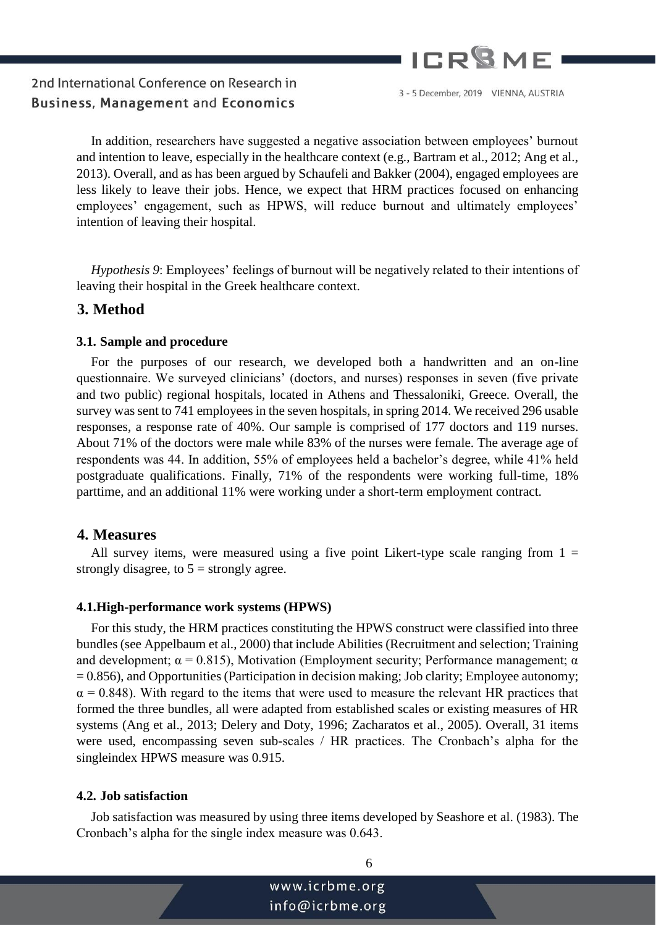

3 - 5 December, 2019 VIENNA, AUSTRIA

In addition, researchers have suggested a negative association between employees' burnout and intention to leave, especially in the healthcare context (e.g., Bartram et al., 2012; Ang et al., 2013). Overall, and as has been argued by Schaufeli and Bakker (2004), engaged employees are less likely to leave their jobs. Hence, we expect that HRM practices focused on enhancing employees' engagement, such as HPWS, will reduce burnout and ultimately employees' intention of leaving their hospital.

*Hypothesis 9*: Employees' feelings of burnout will be negatively related to their intentions of leaving their hospital in the Greek healthcare context.

## **3. Method**

#### **3.1. Sample and procedure**

For the purposes of our research, we developed both a handwritten and an on-line questionnaire. We surveyed clinicians' (doctors, and nurses) responses in seven (five private and two public) regional hospitals, located in Athens and Thessaloniki, Greece. Overall, the survey was sent to 741 employees in the seven hospitals, in spring 2014. We received 296 usable responses, a response rate of 40%. Our sample is comprised of 177 doctors and 119 nurses. About 71% of the doctors were male while 83% of the nurses were female. The average age of respondents was 44. In addition, 55% of employees held a bachelor's degree, while 41% held postgraduate qualifications. Finally, 71% of the respondents were working full-time, 18% parttime, and an additional 11% were working under a short-term employment contract.

### **4. Measures**

All survey items, were measured using a five point Likert-type scale ranging from  $1 =$ strongly disagree, to  $5 =$  strongly agree.

#### **4.1.High-performance work systems (HPWS)**

For this study, the HRM practices constituting the HPWS construct were classified into three bundles (see Appelbaum et al., 2000) that include Abilities (Recruitment and selection; Training and development;  $\alpha = 0.815$ ), Motivation (Employment security; Performance management;  $\alpha$ = 0.856), and Opportunities (Participation in decision making; Job clarity; Employee autonomy;  $\alpha$  = 0.848). With regard to the items that were used to measure the relevant HR practices that formed the three bundles, all were adapted from established scales or existing measures of HR systems (Ang et al., 2013; Delery and Doty, 1996; Zacharatos et al., 2005). Overall, 31 items were used, encompassing seven sub-scales / HR practices. The Cronbach's alpha for the singleindex HPWS measure was 0.915.

#### **4.2. Job satisfaction**

Job satisfaction was measured by using three items developed by Seashore et al. (1983). The Cronbach's alpha for the single index measure was 0.643.

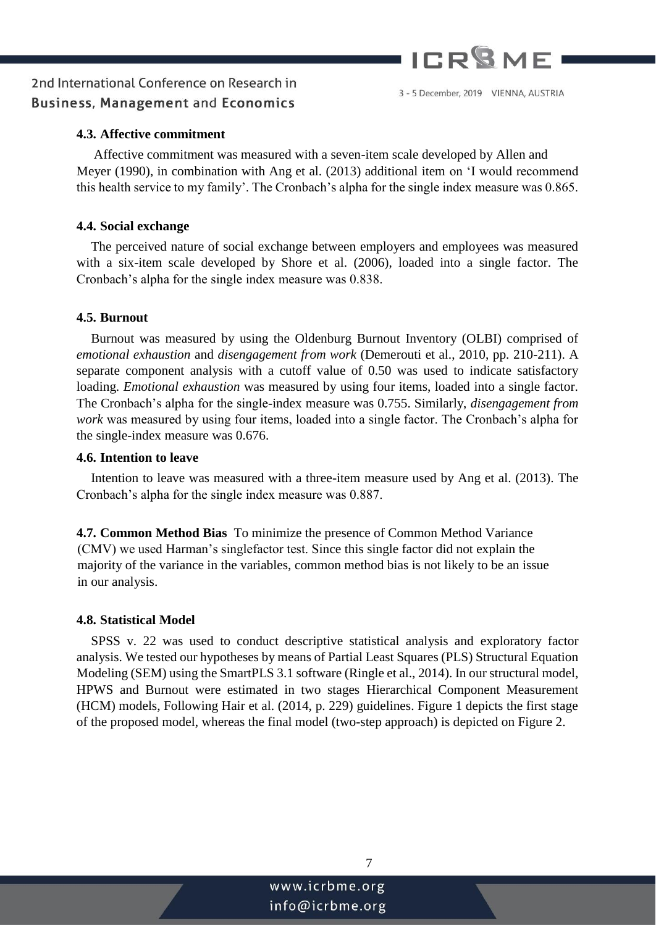

3 - 5 December, 2019 VIENNA, AUSTRIA

## 2nd International Conference on Research in **Business, Management and Economics**

# **4.3. Affective commitment**

Affective commitment was measured with a seven-item scale developed by Allen and Meyer (1990), in combination with Ang et al. (2013) additional item on 'I would recommend this health service to my family'. The Cronbach's alpha for the single index measure was 0.865.

#### **4.4. Social exchange**

The perceived nature of social exchange between employers and employees was measured with a six-item scale developed by Shore et al. (2006), loaded into a single factor. The Cronbach's alpha for the single index measure was 0.838.

#### **4.5. Burnout**

Burnout was measured by using the Oldenburg Burnout Inventory (OLBI) comprised of *emotional exhaustion* and *disengagement from work* (Demerouti et al., 2010, pp. 210-211). A separate component analysis with a cutoff value of 0.50 was used to indicate satisfactory loading. *Emotional exhaustion* was measured by using four items, loaded into a single factor. The Cronbach's alpha for the single-index measure was 0.755. Similarly, *disengagement from work* was measured by using four items, loaded into a single factor. The Cronbach's alpha for the single-index measure was 0.676.

#### **4.6. Intention to leave**

Intention to leave was measured with a three-item measure used by Ang et al. (2013). The Cronbach's alpha for the single index measure was 0.887.

**4.7. Common Method Bias** To minimize the presence of Common Method Variance (CMV) we used Harman's singlefactor test. Since this single factor did not explain the majority of the variance in the variables, common method bias is not likely to be an issue in our analysis.

#### **4.8. Statistical Model**

SPSS v. 22 was used to conduct descriptive statistical analysis and exploratory factor analysis. We tested our hypotheses by means of Partial Least Squares (PLS) Structural Equation Modeling (SEM) using the SmartPLS 3.1 software (Ringle et al., 2014). In our structural model, HPWS and Burnout were estimated in two stages Hierarchical Component Measurement (HCM) models, Following Hair et al. (2014, p. 229) guidelines. Figure 1 depicts the first stage of the proposed model, whereas the final model (two-step approach) is depicted on Figure 2.

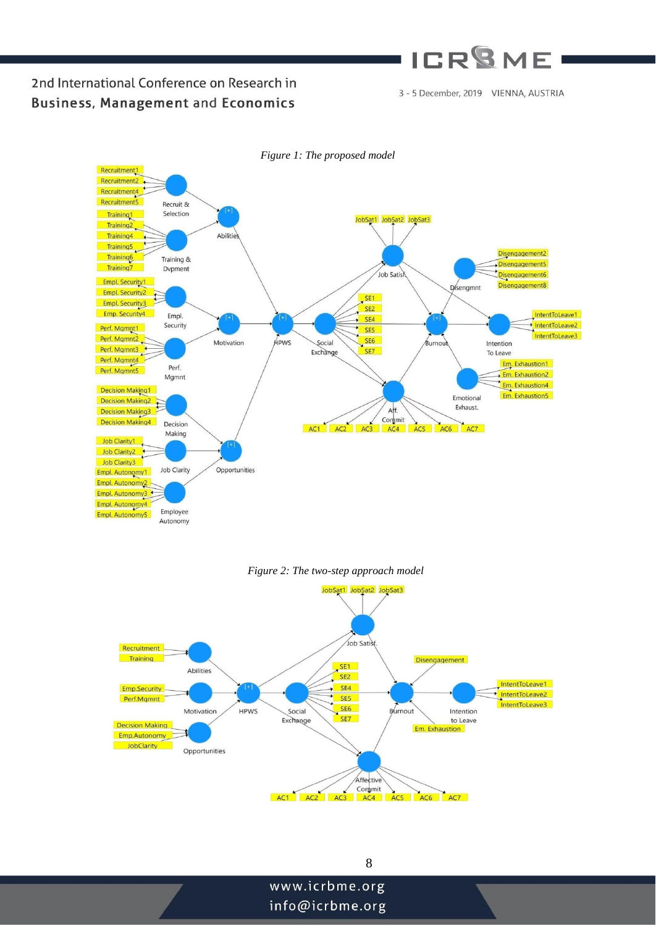# **ICR<sup>Q</sup>ME**

3 - 5 December, 2019 VIENNA, AUSTRIA

## 2nd International Conference on Research in **Business, Management and Economics**



#### *Figure 2: The two-step approach model*

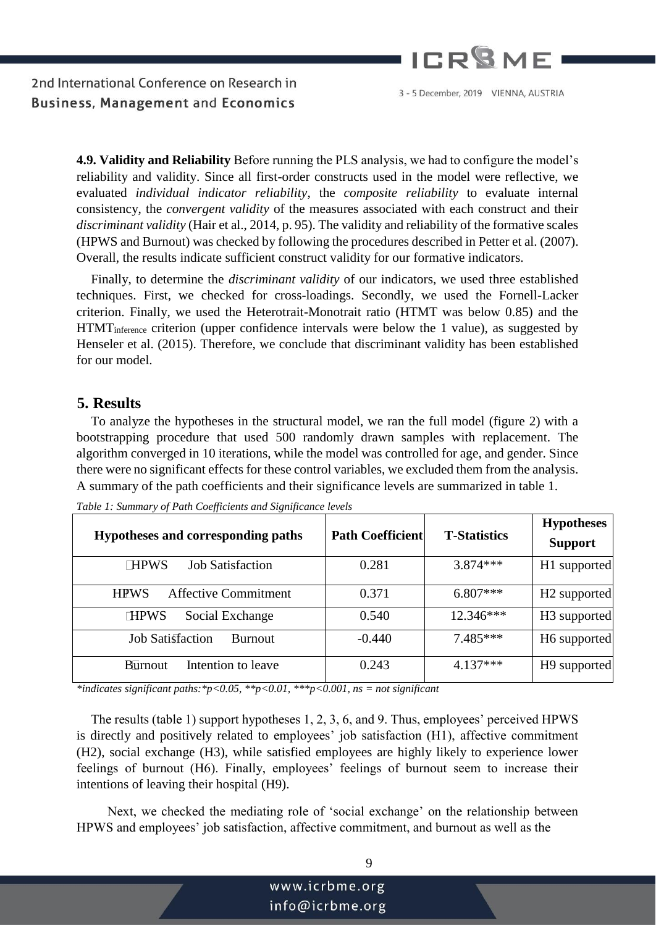

3 - 5 December, 2019 VIENNA, AUSTRIA

**4.9. Validity and Reliability** Before running the PLS analysis, we had to configure the model's reliability and validity. Since all first-order constructs used in the model were reflective, we evaluated *individual indicator reliability*, the *composite reliability* to evaluate internal consistency, the *convergent validity* of the measures associated with each construct and their *discriminant validity* (Hair et al., 2014, p. 95). The validity and reliability of the formative scales (HPWS and Burnout) was checked by following the procedures described in Petter et al. (2007). Overall, the results indicate sufficient construct validity for our formative indicators.

Finally, to determine the *discriminant validity* of our indicators, we used three established techniques. First, we checked for cross-loadings. Secondly, we used the Fornell-Lacker criterion. Finally, we used the Heterotrait-Monotrait ratio (HTMT was below 0.85) and the HTMTinference criterion (upper confidence intervals were below the 1 value), as suggested by Henseler et al. (2015). Therefore, we conclude that discriminant validity has been established for our model.

## **5. Results**

To analyze the hypotheses in the structural model, we ran the full model (figure 2) with a bootstrapping procedure that used 500 randomly drawn samples with replacement. The algorithm converged in 10 iterations, while the model was controlled for age, and gender. Since there were no significant effects for these control variables, we excluded them from the analysis. A summary of the path coefficients and their significance levels are summarized in table 1.

| Hypotheses and corresponding paths         | <b>Path Coefficient</b> | <b>T-Statistics</b> | <b>Hypotheses</b><br><b>Support</b> |
|--------------------------------------------|-------------------------|---------------------|-------------------------------------|
| <b>Job Satisfaction</b><br><b>HPWS</b>     | 0.281                   | $3.874***$          | H1 supported                        |
| <b>Affective Commitment</b><br><b>HPWS</b> | 0.371                   | $6.807***$          | H <sub>2</sub> supported            |
| Social Exchange<br><b>HPWS</b>             | 0.540                   | $12.346***$         | H <sub>3</sub> supported            |
| <b>Job Satisfaction</b><br><b>Burnout</b>  | $-0.440$                | $7.485***$          | H <sub>6</sub> supported            |
| Intention to leave<br><b>Burnout</b>       | 0.243                   | $4.137***$          | H <sub>9</sub> supported            |

*Table 1: Summary of Path Coefficients and Significance levels* 

*\*indicates significant paths:\*p<0.05, \*\*p<0.01, \*\*\*p<0.001, ns = not significant* 

The results (table 1) support hypotheses 1, 2, 3, 6, and 9. Thus, employees' perceived HPWS is directly and positively related to employees' job satisfaction (H1), affective commitment (H2), social exchange (H3), while satisfied employees are highly likely to experience lower feelings of burnout (H6). Finally, employees' feelings of burnout seem to increase their intentions of leaving their hospital (H9).

 Next, we checked the mediating role of 'social exchange' on the relationship between HPWS and employees' job satisfaction, affective commitment, and burnout as well as the

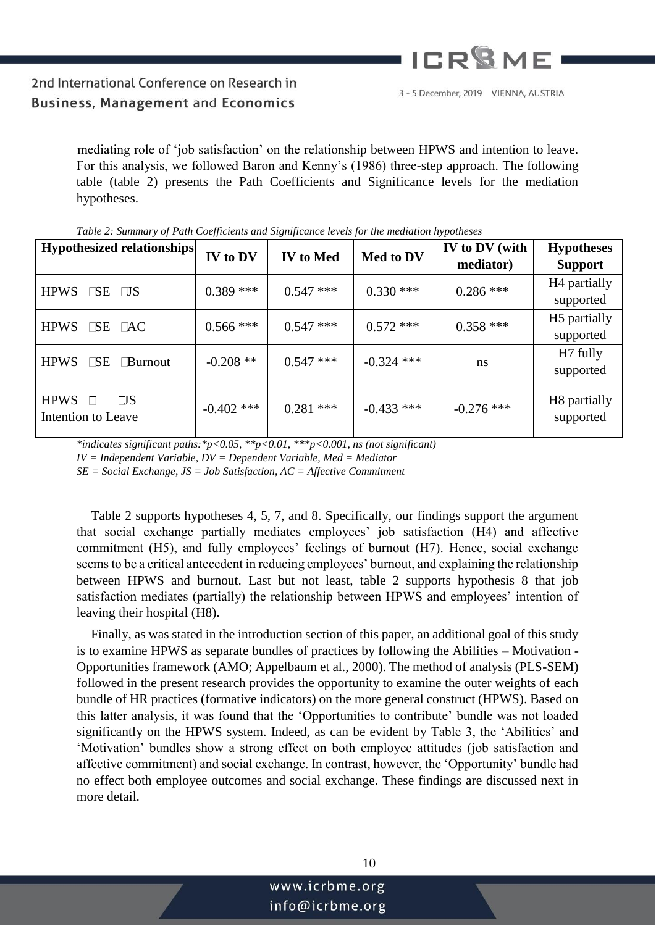

3 - 5 December, 2019 VIENNA, AUSTRIA

mediating role of 'job satisfaction' on the relationship between HPWS and intention to leave. For this analysis, we followed Baron and Kenny's (1986) three-step approach. The following table (table 2) presents the Path Coefficients and Significance levels for the mediation hypotheses.

| Hypothesized relationships                                                  | IV to DV     | <b>IV</b> to Med | Med to DV    | IV to DV (with<br>mediator) | <b>Hypotheses</b><br><b>Support</b>   |
|-----------------------------------------------------------------------------|--------------|------------------|--------------|-----------------------------|---------------------------------------|
| $\Box$ SE $\Box$ S<br><b>HPWS</b>                                           | $0.389$ ***  | $0.547$ ***      | $0.330$ ***  | $0.286$ ***                 | H <sub>4</sub> partially<br>supported |
| $\Box$ SE $\Box$ AC<br><b>HPWS</b>                                          | $0.566$ ***  | $0.547$ ***      | $0.572$ ***  | $0.358$ ***                 | H <sub>5</sub> partially<br>supported |
| <b>HPWS</b><br>$\Box$ SE<br><b>Burnout</b>                                  | $-0.208$ **  | $0.547$ ***      | $-0.324$ *** | ns                          | H <sub>7</sub> fully<br>supported     |
| $\Box S$<br><b>HPWS</b><br>$\mathcal{L}(\mathcal{L})$<br>Intention to Leave | $-0.402$ *** | $0.281$ ***      | $-0.433$ *** | $-0.276$ ***                | H8 partially<br>supported             |

*Table 2: Summary of Path Coefficients and Significance levels for the mediation hypotheses* 

*\*indicates significant paths:\*p<0.05, \*\*p<0.01, \*\*\*p<0.001, ns (not significant) IV = Independent Variable, DV = Dependent Variable, Med = Mediator SE = Social Exchange, JS = Job Satisfaction, AC = Affective Commitment* 

Table 2 supports hypotheses 4, 5, 7, and 8. Specifically, our findings support the argument that social exchange partially mediates employees' job satisfaction (H4) and affective commitment (H5), and fully employees' feelings of burnout (H7). Hence, social exchange seems to be a critical antecedent in reducing employees' burnout, and explaining the relationship between HPWS and burnout. Last but not least, table 2 supports hypothesis 8 that job satisfaction mediates (partially) the relationship between HPWS and employees' intention of leaving their hospital (H8).

Finally, as was stated in the introduction section of this paper, an additional goal of this study is to examine HPWS as separate bundles of practices by following the Abilities – Motivation - Opportunities framework (AMO; Appelbaum et al., 2000). The method of analysis (PLS-SEM) followed in the present research provides the opportunity to examine the outer weights of each bundle of HR practices (formative indicators) on the more general construct (HPWS). Based on this latter analysis, it was found that the 'Opportunities to contribute' bundle was not loaded significantly on the HPWS system. Indeed, as can be evident by Table 3, the 'Abilities' and 'Motivation' bundles show a strong effect on both employee attitudes (job satisfaction and affective commitment) and social exchange. In contrast, however, the 'Opportunity' bundle had no effect both employee outcomes and social exchange. These findings are discussed next in more detail.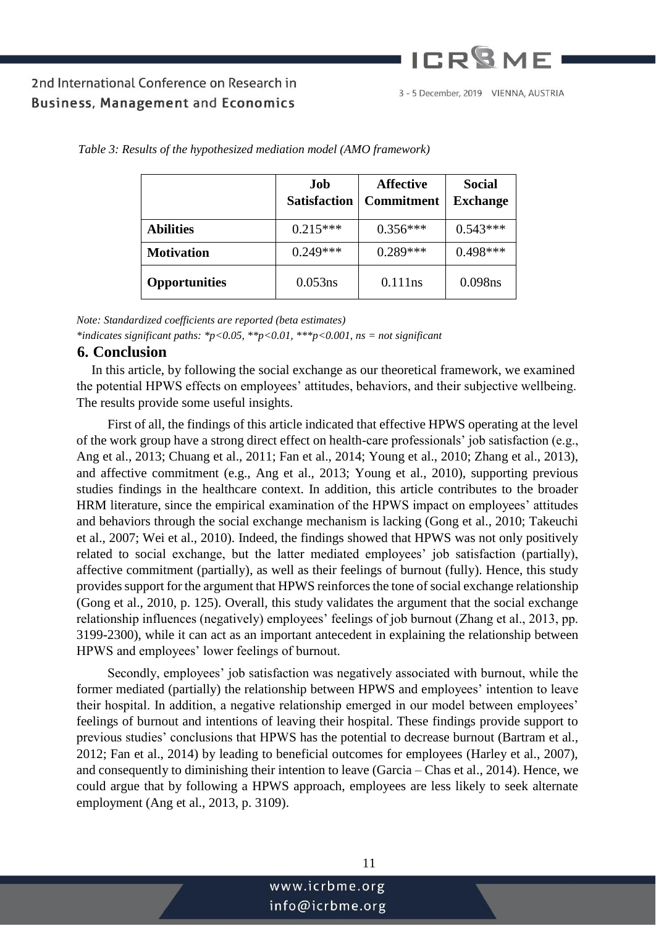# **ICR<sup>Q</sup>ME**

# 2nd International Conference on Research in **Business, Management and Economics**

|                      | Job<br><b>Satisfaction</b> | <b>Affective</b><br><b>Commitment</b> | <b>Social</b><br><b>Exchange</b> |
|----------------------|----------------------------|---------------------------------------|----------------------------------|
| <b>Abilities</b>     | $0.215***$                 | $0.356***$                            | $0.543***$                       |
| <b>Motivation</b>    | $0.249***$                 | $0.289***$                            | $0.498***$                       |
| <b>Opportunities</b> | 0.053ns                    | 0.111ns                               | 0.098ns                          |

*Table 3: Results of the hypothesized mediation model (AMO framework)* 

*Note: Standardized coefficients are reported (beta estimates) \*indicates significant paths: \*p<0.05, \*\*p<0.01, \*\*\*p<0.001, ns = not significant* 

### **6. Conclusion**

In this article, by following the social exchange as our theoretical framework, we examined the potential HPWS effects on employees' attitudes, behaviors, and their subjective wellbeing. The results provide some useful insights.

 First of all, the findings of this article indicated that effective HPWS operating at the level of the work group have a strong direct effect on health-care professionals' job satisfaction (e.g., Ang et al., 2013; Chuang et al., 2011; Fan et al., 2014; Young et al., 2010; Zhang et al., 2013), and affective commitment (e.g., Ang et al., 2013; Young et al., 2010), supporting previous studies findings in the healthcare context. In addition, this article contributes to the broader HRM literature, since the empirical examination of the HPWS impact on employees' attitudes and behaviors through the social exchange mechanism is lacking (Gong et al., 2010; Takeuchi et al., 2007; Wei et al., 2010). Indeed, the findings showed that HPWS was not only positively related to social exchange, but the latter mediated employees' job satisfaction (partially), affective commitment (partially), as well as their feelings of burnout (fully). Hence, this study provides support for the argument that HPWS reinforces the tone of social exchange relationship (Gong et al., 2010, p. 125). Overall, this study validates the argument that the social exchange relationship influences (negatively) employees' feelings of job burnout (Zhang et al., 2013, pp. 3199-2300), while it can act as an important antecedent in explaining the relationship between HPWS and employees' lower feelings of burnout.

 Secondly, employees' job satisfaction was negatively associated with burnout, while the former mediated (partially) the relationship between HPWS and employees' intention to leave their hospital. In addition, a negative relationship emerged in our model between employees' feelings of burnout and intentions of leaving their hospital. These findings provide support to previous studies' conclusions that HPWS has the potential to decrease burnout (Bartram et al., 2012; Fan et al., 2014) by leading to beneficial outcomes for employees (Harley et al., 2007), and consequently to diminishing their intention to leave (Garcia – Chas et al., 2014). Hence, we could argue that by following a HPWS approach, employees are less likely to seek alternate employment (Ang et al., 2013, p. 3109).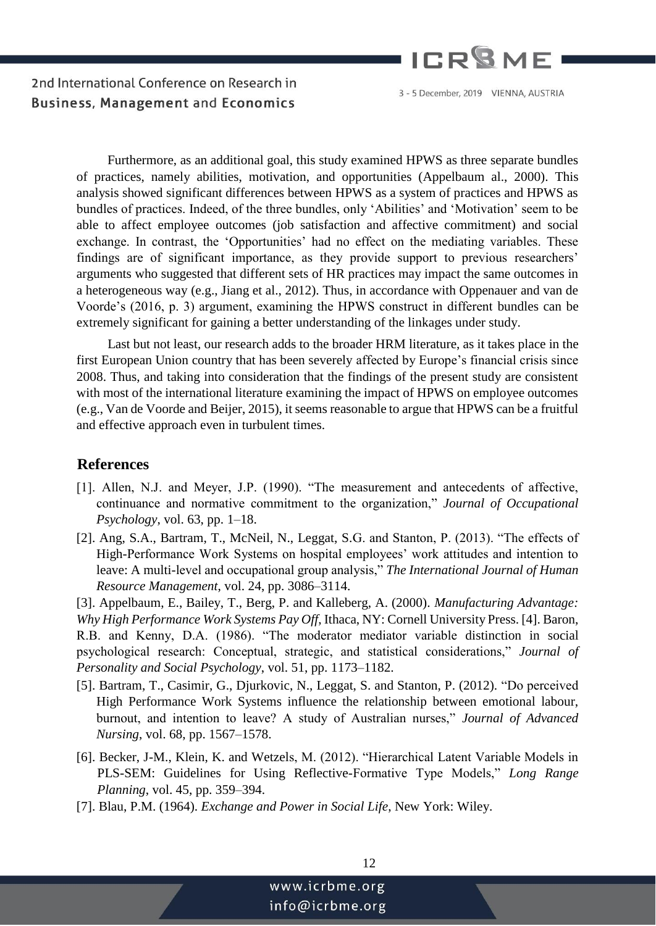

3 - 5 December, 2019 VIENNA, AUSTRIA

 Furthermore, as an additional goal, this study examined HPWS as three separate bundles of practices, namely abilities, motivation, and opportunities (Appelbaum al., 2000). This analysis showed significant differences between HPWS as a system of practices and HPWS as bundles of practices. Indeed, of the three bundles, only 'Abilities' and 'Motivation' seem to be able to affect employee outcomes (job satisfaction and affective commitment) and social exchange. In contrast, the 'Opportunities' had no effect on the mediating variables. These findings are of significant importance, as they provide support to previous researchers' arguments who suggested that different sets of HR practices may impact the same outcomes in a heterogeneous way (e.g., Jiang et al., 2012). Thus, in accordance with Oppenauer and van de Voorde's (2016, p. 3) argument, examining the HPWS construct in different bundles can be extremely significant for gaining a better understanding of the linkages under study.

 Last but not least, our research adds to the broader HRM literature, as it takes place in the first European Union country that has been severely affected by Europe's financial crisis since 2008. Thus, and taking into consideration that the findings of the present study are consistent with most of the international literature examining the impact of HPWS on employee outcomes (e.g., Van de Voorde and Beijer, 2015), it seems reasonable to argue that HPWS can be a fruitful and effective approach even in turbulent times.

### **References**

- [1]. Allen, N.J. and Meyer, J.P. (1990). "The measurement and antecedents of affective, continuance and normative commitment to the organization," *Journal of Occupational Psychology*, vol. 63, pp. 1–18.
- [2]. Ang, S.A., Bartram, T., McNeil, N., Leggat, S.G. and Stanton, P. (2013). "The effects of High-Performance Work Systems on hospital employees' work attitudes and intention to leave: A multi-level and occupational group analysis," *The International Journal of Human Resource Management*, vol. 24, pp. 3086–3114.

[3]. Appelbaum, E., Bailey, T., Berg, P. and Kalleberg, A. (2000). *Manufacturing Advantage: Why High Performance Work Systems Pay Off*, Ithaca, NY: Cornell University Press. [4]. Baron, R.B. and Kenny, D.A. (1986). "The moderator mediator variable distinction in social psychological research: Conceptual, strategic, and statistical considerations," *Journal of Personality and Social Psychology*, vol. 51, pp. 1173–1182.

- [5]. Bartram, T., Casimir, G., Djurkovic, N., Leggat, S. and Stanton, P. (2012). "Do perceived High Performance Work Systems influence the relationship between emotional labour, burnout, and intention to leave? A study of Australian nurses," *Journal of Advanced Nursing*, vol. 68, pp. 1567–1578.
- [6]. Becker, J-M., Klein, K. and Wetzels, M. (2012). "Hierarchical Latent Variable Models in PLS-SEM: Guidelines for Using Reflective-Formative Type Models," *Long Range Planning*, vol. 45, pp. 359–394.
- [7]. Blau, P.M. (1964). *Exchange and Power in Social Life*, New York: Wiley.

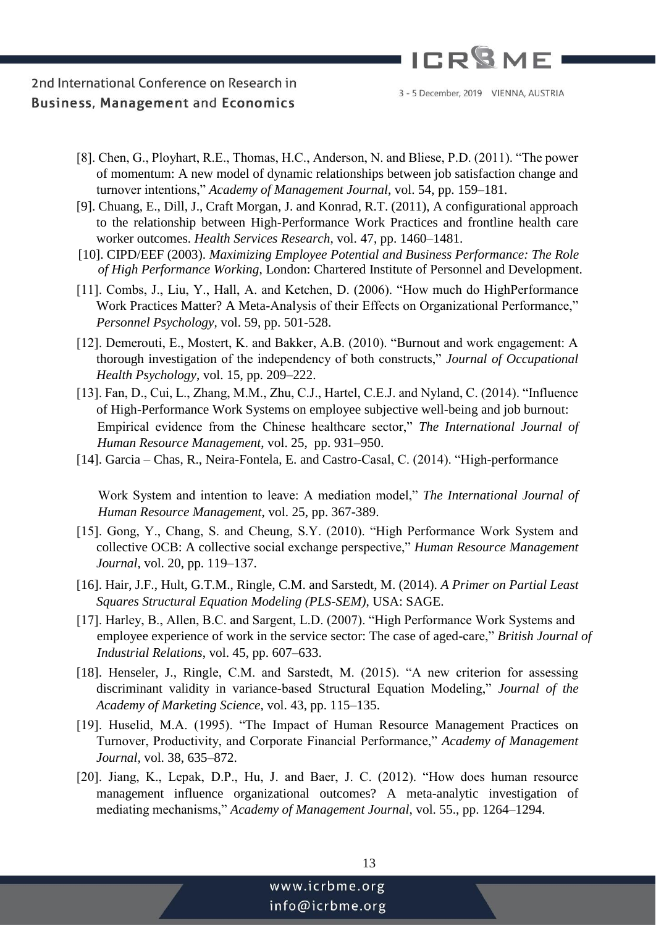

- [8]. Chen, G., Ployhart, R.E., Thomas, H.C., Anderson, N. and Bliese, P.D. (2011). "The power of momentum: A new model of dynamic relationships between job satisfaction change and turnover intentions," *Academy of Management Journal*, vol. 54, pp. 159–181.
- [9]. Chuang, E., Dill, J., Craft Morgan, J. and Konrad, R.T. (2011), A configurational approach to the relationship between High-Performance Work Practices and frontline health care worker outcomes. *Health Services Research*, vol. 47, pp. 1460–1481.
- [10]. CIPD/EEF (2003). *Maximizing Employee Potential and Business Performance: The Role of High Performance Working*, London: Chartered Institute of Personnel and Development.
- [11]. Combs, J., Liu, Y., Hall, A. and Ketchen, D. (2006). "How much do HighPerformance Work Practices Matter? A Meta-Analysis of their Effects on Organizational Performance," *Personnel Psychology,* vol. 59, pp. 501-528.
- [12]. Demerouti, E., Mostert, K. and Bakker, A.B. (2010). "Burnout and work engagement: A thorough investigation of the independency of both constructs," *Journal of Occupational Health Psychology*, vol. 15, pp. 209–222.
- [13]. Fan, D., Cui, L., Zhang, M.M., Zhu, C.J., Hartel, C.E.J. and Nyland, C. (2014). "Influence of High-Performance Work Systems on employee subjective well-being and job burnout: Empirical evidence from the Chinese healthcare sector," *The International Journal of Human Resource Management*, vol. 25, pp. 931–950.
- [14]. Garcia Chas, R., Neira-Fontela, E. and Castro-Casal, C. (2014). "High-performance

Work System and intention to leave: A mediation model," *The International Journal of Human Resource Management*, vol. 25, pp. 367-389.

- [15]. Gong, Y., Chang, S. and Cheung, S.Y. (2010). "High Performance Work System and collective OCB: A collective social exchange perspective," *Human Resource Management Journal*, vol. 20, pp. 119–137.
- [16]. Hair, J.F., Hult, G.T.M., Ringle, C.M. and Sarstedt, M. (2014). *A Primer on Partial Least Squares Structural Equation Modeling (PLS-SEM)*, USA: SAGE.
- [17]. Harley, B., Allen, B.C. and Sargent, L.D. (2007). "High Performance Work Systems and employee experience of work in the service sector: The case of aged-care," *British Journal of Industrial Relations*, vol. 45, pp. 607–633.
- [18]. Henseler, J., Ringle, C.M. and Sarstedt, M. (2015). "A new criterion for assessing discriminant validity in variance-based Structural Equation Modeling," *Journal of the Academy of Marketing Science*, vol. 43, pp. 115–135.
- [19]. Huselid, M.A. (1995). "The Impact of Human Resource Management Practices on Turnover, Productivity, and Corporate Financial Performance," *Academy of Management Journal,* vol. 38, 635–872.
- [20]. Jiang, K., Lepak, D.P., Hu, J. and Baer, J. C. (2012). "How does human resource management influence organizational outcomes? A meta-analytic investigation of mediating mechanisms," *Academy of Management Journal*, vol. 55., pp. 1264–1294.

| 13             |  |
|----------------|--|
| vww.icrbme.org |  |
| nfo@icrbme.org |  |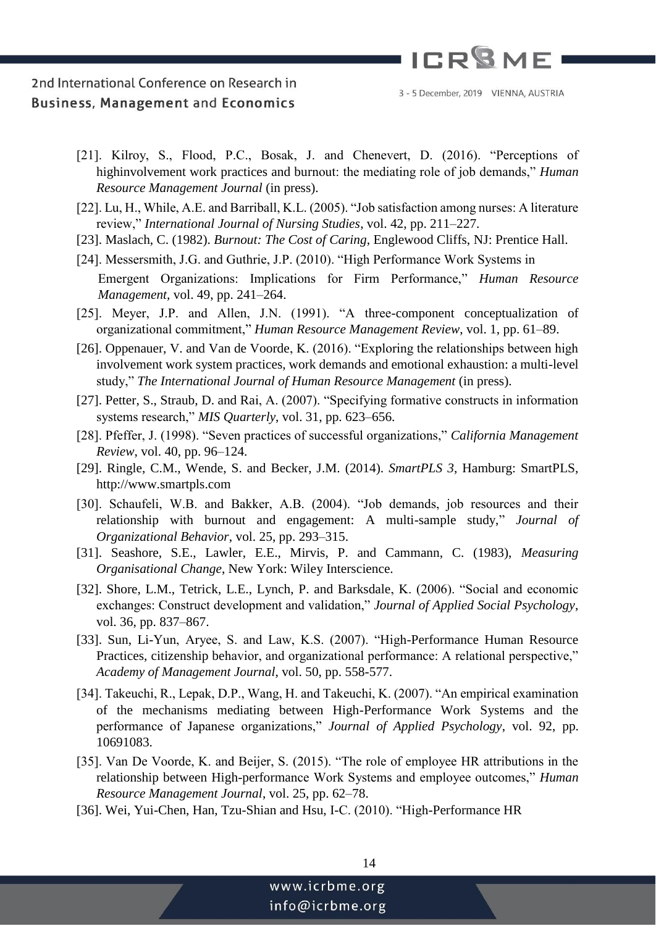

- [21]. Kilroy, S., Flood, P.C., Bosak, J. and Chenevert, D. (2016). "Perceptions of highinvolvement work practices and burnout: the mediating role of job demands," *Human Resource Management Journal* (in press).
- [22]. Lu, H., While, A.E. and Barriball, K.L. (2005). "Job satisfaction among nurses: A literature review," *International Journal of Nursing Studies*, vol. 42, pp. 211–227.
- [23]. Maslach, C. (1982). *Burnout: The Cost of Caring*, Englewood Cliffs, NJ: Prentice Hall.
- [24]. Messersmith, J.G. and Guthrie, J.P. (2010). "High Performance Work Systems in

Emergent Organizations: Implications for Firm Performance," *Human Resource Management,* vol. 49, pp. 241–264.

- [25]. Meyer, J.P. and Allen, J.N. (1991). "A three-component conceptualization of organizational commitment," *Human Resource Management Review*, vol. 1, pp. 61–89.
- [26]. Oppenauer, V. and Van de Voorde, K. (2016). "Exploring the relationships between high involvement work system practices, work demands and emotional exhaustion: a multi-level study," *The International Journal of Human Resource Management* (in press).
- [27]. Petter, S., Straub, D. and Rai, A. (2007). "Specifying formative constructs in information systems research," *MIS Quarterly*, vol. 31, pp. 623–656.
- [28]. Pfeffer, J. (1998). "Seven practices of successful organizations," *California Management Review*, vol. 40, pp. 96–124.
- [29]. Ringle, C.M., Wende, S. and Becker, J.M. (2014). *SmartPLS 3*, Hamburg: SmartPLS, http://www.smartpls.com
- [30]. Schaufeli, W.B. and Bakker, A.B. (2004). "Job demands, job resources and their relationship with burnout and engagement: A multi-sample study," *Journal of Organizational Behavior*, vol. 25, pp. 293–315.
- [31]. Seashore, S.E., Lawler, E.E., Mirvis, P. and Cammann, C. (1983), *Measuring Organisational Change*, New York: Wiley Interscience.
- [32]. Shore, L.M., Tetrick, L.E., Lynch, P. and Barksdale, K. (2006). "Social and economic exchanges: Construct development and validation," *Journal of Applied Social Psychology*, vol. 36, pp. 837–867.
- [33]. Sun, Li-Yun, Aryee, S. and Law, K.S. (2007). "High-Performance Human Resource Practices, citizenship behavior, and organizational performance: A relational perspective," *Academy of Management Journal*, vol. 50, pp. 558-577.
- [34]. Takeuchi, R., Lepak, D.P., Wang, H. and Takeuchi, K. (2007). "An empirical examination of the mechanisms mediating between High-Performance Work Systems and the performance of Japanese organizations," *Journal of Applied Psychology*, vol. 92, pp. 10691083.
- [35]. Van De Voorde, K. and Beijer, S. (2015). "The role of employee HR attributions in the relationship between High-performance Work Systems and employee outcomes," *Human Resource Management Journal*, vol. 25, pp. 62–78.
- [36]. Wei, Yui-Chen, Han, Tzu-Shian and Hsu, I-C. (2010). "High-Performance HR